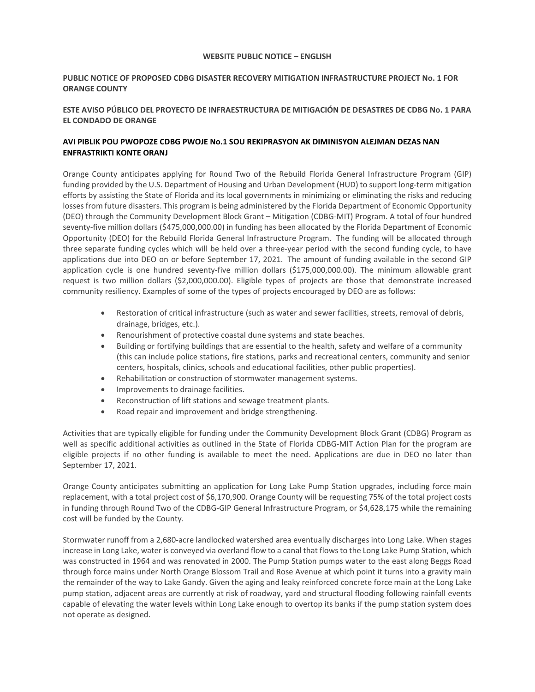### **WEBSITE PUBLIC NOTICE – ENGLISH**

# **PUBLIC NOTICE OF PROPOSED CDBG DISASTER RECOVERY MITIGATION INFRASTRUCTURE PROJECT No. 1 FOR ORANGE COUNTY**

# **ESTE AVISO PÚBLICO DEL PROYECTO DE INFRAESTRUCTURA DE MITIGACIÓN DE DESASTRES DE CDBG No. 1 PARA EL CONDADO DE ORANGE**

# **AVI PIBLIK POU PWOPOZE CDBG PWOJE No.1 SOU REKIPRASYON AK DIMINISYON ALEJMAN DEZAS NAN ENFRASTRIKTI KONTE ORANJ**

Orange County anticipates applying for Round Two of the Rebuild Florida General Infrastructure Program (GIP) funding provided by the U.S. Department of Housing and Urban Development (HUD) to support long-term mitigation efforts by assisting the State of Florida and its local governments in minimizing or eliminating the risks and reducing losses from future disasters. This program is being administered by the Florida Department of Economic Opportunity (DEO) through the Community Development Block Grant – Mitigation (CDBG-MIT) Program. A total of four hundred seventy-five million dollars (\$475,000,000.00) in funding has been allocated by the Florida Department of Economic Opportunity (DEO) for the Rebuild Florida General Infrastructure Program. The funding will be allocated through three separate funding cycles which will be held over a three-year period with the second funding cycle, to have applications due into DEO on or before September 17, 2021. The amount of funding available in the second GIP application cycle is one hundred seventy-five million dollars (\$175,000,000.00). The minimum allowable grant request is two million dollars (\$2,000,000.00). Eligible types of projects are those that demonstrate increased community resiliency. Examples of some of the types of projects encouraged by DEO are as follows:

- • Restoration of critical infrastructure (such as water and sewer facilities, streets, removal of debris, drainage, bridges, etc.).
- Renourishment of protective coastal dune systems and state beaches.
- (this can include police stations, fire stations, parks and recreational centers, community and senior Building or fortifying buildings that are essential to the health, safety and welfare of a community centers, hospitals, clinics, schools and educational facilities, other public properties).
- Rehabilitation or construction of stormwater management systems.
- • Improvements to drainage facilities.
- Reconstruction of lift stations and sewage treatment plants.
- Road repair and improvement and bridge strengthening.

 eligible projects if no other funding is available to meet the need. Applications are due in DEO no later than Activities that are typically eligible for funding under the Community Development Block Grant (CDBG) Program as well as specific additional activities as outlined in the State of Florida CDBG-MIT Action Plan for the program are September 17, 2021.

 replacement, with a total project cost of \$6,170,900. Orange County will be requesting 75% of the total project costs Orange County anticipates submitting an application for Long Lake Pump Station upgrades, including force main in funding through Round Two of the CDBG-GIP General Infrastructure Program, or \$4,628,175 while the remaining cost will be funded by the County.

 increase in Long Lake, water is conveyed via overland flow to a canal that flows to the Long Lake Pump Station, which pump station, adjacent areas are currently at risk of roadway, yard and structural flooding following rainfall events capable of elevating the water levels within Long Lake enough to overtop its banks if the pump station system does not operate as designed. Stormwater runoff from a 2,680-acre landlocked watershed area eventually discharges into Long Lake. When stages was constructed in 1964 and was renovated in 2000. The Pump Station pumps water to the east along Beggs Road through force mains under North Orange Blossom Trail and Rose Avenue at which point it turns into a gravity main the remainder of the way to Lake Gandy. Given the aging and leaky reinforced concrete force main at the Long Lake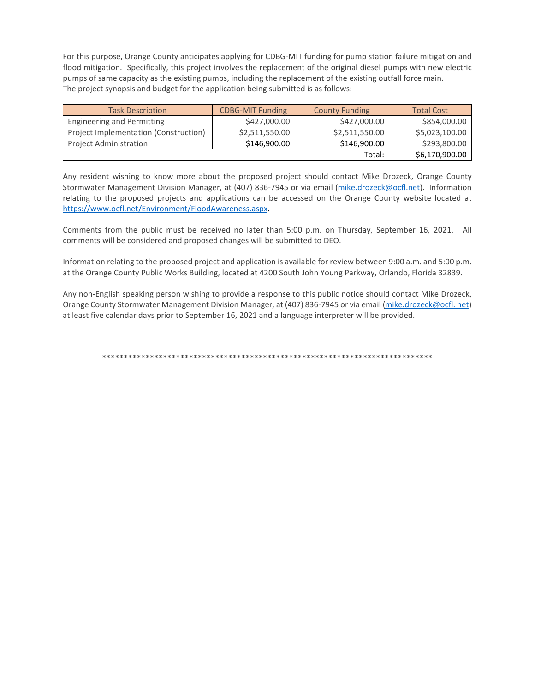pumps of same capacity as the existing pumps, including the replacement of the existing outfall force main.<br>The project synopsis and budget for the application being submitted is as follows: For this purpose, Orange County anticipates applying for CDBG-MIT funding for pump station failure mitigation and flood mitigation. Specifically, this project involves the replacement of the original diesel pumps with new electric

| <b>Task Description</b>               | <b>CDBG-MIT Funding</b> | <b>County Funding</b> | <b>Total Cost</b> |
|---------------------------------------|-------------------------|-----------------------|-------------------|
| Engineering and Permitting            | \$427,000.00            | \$427,000.00          | \$854,000.00      |
| Project Implementation (Construction) | \$2,511,550.00          | \$2,511,550.00        | \$5,023,100.00    |
| <b>Project Administration</b>         | \$146,900.00            | \$146,900.00          | \$293,800.00      |
|                                       |                         | Total:                | \$6,170,900.00    |

Any resident wishing to know more about the proposed project should contact Mike Drozeck, Orange County Stormwater Management Division Manager, at (407) 836-7945 or via email [\(mike.drozeck@ocfl.net\)](mailto:mike.drozeck@ocfl.net). Information relating to the proposed projects and applications can be accessed on the Orange County website located at [https://www.ocfl.net/Environment/FloodAwareness.aspx.](https://www.ocfl.net/Environment/FloodAwareness.aspx) 

 Comments from the public must be received no later than 5:00 p.m. on Thursday, September 16, 2021. All comments will be considered and proposed changes will be submitted to DEO.

Information relating to the proposed project and application is available for review between 9:00 a.m. and 5:00 p.m. at the Orange County Public Works Building, located at 4200 South John Young Parkway, Orlando, Florida 32839.

Any non-English speaking person wishing to provide a response to this public notice should contact Mike Drozeck, Orange County Stormwater Management Division Manager, at (407) 836-7945 or via email [\(mike.drozeck@ocfl. net\)](mailto:mike.drozeck@ocfl.net) at least five calendar days prior to September 16, 2021 and a language interpreter will be provided.

\*\*\*\*\*\*\*\*\*\*\*\*\*\*\*\*\*\*\*\*\*\*\*\*\*\*\*\*\*\*\*\*\*\*\*\*\*\*\*\*\*\*\*\*\*\*\*\*\*\*\*\*\*\*\*\*\*\*\*\*\*\*\*\*\*\*\*\*\*\*\*\*\*\*\*\*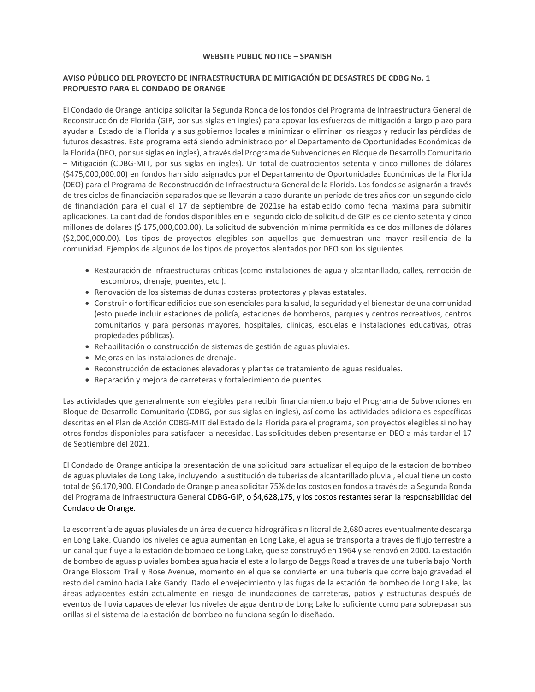#### **WEBSITE PUBLIC NOTICE – SPANISH**

# **AVISO PÚBLICO DEL PROYECTO DE INFRAESTRUCTURA DE MITIGACIÓN DE DESASTRES DE CDBG No. 1 PROPUESTO PARA EL CONDADO DE ORANGE**

El Condado de Orange anticipa solicitar la Segunda Ronda de los fondos del Programa de Infraestructura General de Reconstrucción de Florida (GIP, por sus siglas en ingles) para apoyar los esfuerzos de mitigación a largo plazo para ayudar al Estado de la Florida y a sus gobiernos locales a minimizar o eliminar los riesgos y reducir las pérdidas de futuros desastres. Este programa está siendo administrado por el Departamento de Oportunidades Económicas de la Florida (DEO, por sus siglas en ingles), a través del Programa de Subvenciones en Bloque de Desarrollo Comunitario – Mitigación (CDBG-MIT, por sus siglas en ingles). Un total de cuatrocientos setenta y cinco millones de dólares (\$475,000,000.00) en fondos han sido asignados por el Departamento de Oportunidades Económicas de la Florida (DEO) para el Programa de Reconstrucción de Infraestructura General de la Florida. Los fondos se asignarán a través de tres ciclos de financiación separados que se llevarán a cabo durante un período de tres años con un segundo ciclo de financiación para el cual el 17 de septiembre de 2021se ha establecido como fecha maxima para submitir aplicaciones. La cantidad de fondos disponibles en el segundo ciclo de solicitud de GIP es de ciento setenta y cinco millones de dólares (\$ 175,000,000.00). La solicitud de subvención mínima permitida es de dos millones de dólares (\$2,000,000.00). Los tipos de proyectos elegibles son aquellos que demuestran una mayor resiliencia de la comunidad. Ejemplos de algunos de los tipos de proyectos alentados por DEO son los siguientes:

- • Restauración de infraestructuras críticas (como instalaciones de agua y alcantarillado, calles, remoción de escombros, drenaje, puentes, etc.).
- • Renovación de los sistemas de dunas costeras protectoras y playas estatales.
- • Construir o fortificar edificios que son esenciales para la salud, la seguridad y el bienestar de una comunidad comunitarios y para personas mayores, hospitales, clínicas, escuelas e instalaciones educativas, otras (esto puede incluir estaciones de policía, estaciones de bomberos, parques y centros recreativos, centros propiedades públicas).
- • Rehabilitación o construcción de sistemas de gestión de aguas pluviales.
- • Mejoras en las instalaciones de drenaje.
- • Reconstrucción de estaciones elevadoras y plantas de tratamiento de aguas residuales.
- • Reparación y mejora de carreteras y fortalecimiento de puentes.

 Bloque de Desarrollo Comunitario (CDBG, por sus siglas en ingles), así como las actividades adicionales específicas otros fondos disponibles para satisfacer la necesidad. Las solicitudes deben presentarse en DEO a más tardar el 17 Las actividades que generalmente son elegibles para recibir financiamiento bajo el Programa de Subvenciones en descritas en el Plan de Acción CDBG-MIT del Estado de la Florida para el programa, son proyectos elegibles si no hay de Septiembre del 2021.

 de aguas pluviales de Long Lake, incluyendo la sustitución de tuberias de alcantarillado pluvial, el cual tiene un costo total de \$6,170,900. El Condado de Orange planea solicitar 75% de los costos en fondos a través de la Segunda Ronda del Programa de Infraestructura General CDBG-GIP, o \$4,628,175, y los costos restantes seran la responsabilidad del El Condado de Orange anticipa la presentación de una solicitud para actualizar el equipo de la estacion de bombeo Condado de Orange.

 resto del camino hacia Lake Gandy. Dado el envejecimiento y las fugas de la estación de bombeo de Long Lake, las áreas adyacentes están actualmente en riesgo de inundaciones de carreteras, patios y estructuras después de eventos de lluvia capaces de elevar los niveles de agua dentro de Long Lake lo suficiente como para sobrepasar sus La escorrentía de aguas pluviales de un área de cuenca hidrográfica sin litoral de 2,680 acres eventualmente descarga en Long Lake. Cuando los niveles de agua aumentan en Long Lake, el agua se transporta a través de flujo terrestre a un canal que fluye a la estación de bombeo de Long Lake, que se construyó en 1964 y se renovó en 2000. La estación de bombeo de aguas pluviales bombea agua hacia el este a lo largo de Beggs Road a través de una tuberia bajo North Orange Blossom Trail y Rose Avenue, momento en el que se convierte en una tuberia que corre bajo gravedad el orillas si el sistema de la estación de bombeo no funciona según lo diseñado.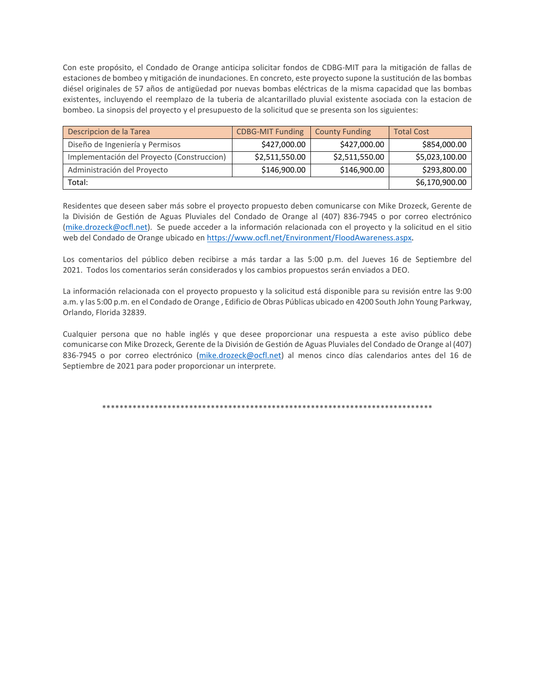Con este propósito, el Condado de Orange anticipa solicitar fondos de CDBG-MIT para la mitigación de fallas de diésel originales de 57 años de antigüedad por nuevas bombas eléctricas de la misma capacidad que las bombas existentes, incluyendo el reemplazo de la tuberia de alcantarillado pluvial existente asociada con la estacion de bombeo. La sinopsis del proyecto y el presupuesto de la solicitud que se presenta son los siguientes: estaciones de bombeo y mitigación de inundaciones. En concreto, este proyecto supone la sustitución de las bombas

| Descripcion de la Tarea                    | <b>CDBG-MIT Funding</b> | <b>County Funding</b> | <b>Total Cost</b> |
|--------------------------------------------|-------------------------|-----------------------|-------------------|
| Diseño de Ingeniería y Permisos            | \$427,000.00            | \$427,000.00          | \$854,000.00      |
| Implementación del Proyecto (Construccion) | \$2,511,550.00          | \$2,511,550.00        | \$5,023,100.00    |
| Administración del Proyecto                | \$146,900.00            | \$146,900.00          | \$293,800.00      |
| Total:                                     |                         |                       | \$6,170,900.00    |

Residentes que deseen saber más sobre el proyecto propuesto deben comunicarse con Mike Drozeck, Gerente de la División de Gestión de Aguas Pluviales del Condado de Orange al (407) 836-7945 o por correo electrónico [\(mike.drozeck@ocfl.net\)](mailto:mike.drozeck@ocfl.net). Se puede acceder a la información relacionada con el proyecto y la solicitud en el sitio web del Condado de Orange ubicado en [https://www.ocfl.net/Environment/FloodAwareness.aspx.](https://www.ocfl.net/Environment/FloodAwareness.aspx)

 Los comentarios del público deben recibirse a más tardar a las 5:00 p.m. del Jueves 16 de Septiembre del 2021. Todos los comentarios serán considerados y los cambios propuestos serán enviados a DEO.

La información relacionada con el proyecto propuesto y la solicitud está disponible para su revisión entre las 9:00 a.m. y las 5:00 p.m. en el Condado de Orange , Edificio de Obras Públicas ubicado en 4200 South John Young Parkway, Orlando, Florida 32839.

Cualquier persona que no hable inglés y que desee proporcionar una respuesta a este aviso público debe comunicarse con Mike Drozeck, Gerente de la División de Gestión de Aguas Pluviales del Condado de Orange al (407) 836-7945 o por correo electrónico [\(mike.drozeck@ocfl.net\)](mailto:mike.drozeck@ocfl.net) al menos cinco días calendarios antes del 16 de Septiembre de 2021 para poder proporcionar un interprete.

\*\*\*\*\*\*\*\*\*\*\*\*\*\*\*\*\*\*\*\*\*\*\*\*\*\*\*\*\*\*\*\*\*\*\*\*\*\*\*\*\*\*\*\*\*\*\*\*\*\*\*\*\*\*\*\*\*\*\*\*\*\*\*\*\*\*\*\*\*\*\*\*\*\*\*\*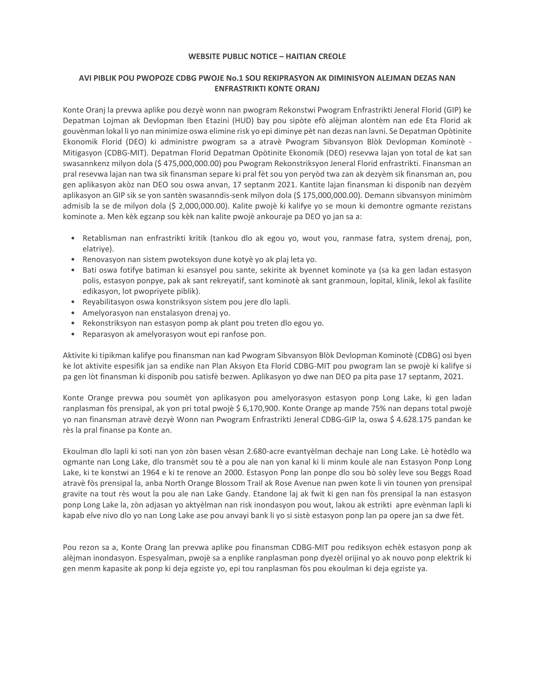#### **WEBSITE PUBLIC NOTICE – HAITIAN CREOLE**

### **AVI PIBLIK POU PWOPOZE CDBG PWOJE No.1 SOU REKIPRASYON AK DIMINISYON ALEJMAN DEZAS NAN ENFRASTRIKTI KONTE ORANJ**

Konte Oranj la prevwa aplike pou dezyè wonn nan pwogram Rekonstwi Pwogram Enfrastrikti Jeneral Florid (GIP) ke Depatman Lojman ak Devlopman Iben Etazini (HUD) bay pou sipòte efò alèjman alontèm nan ede Eta Florid ak gouvènman lokal li yo nan minimize oswa elimine risk yo epi diminye pèt nan dezas nan lavni. Se Depatman Opòtinite Ekonomik Florid (DEO) ki administre pwogram sa a atravè Pwogram Sibvansyon Blòk Devlopman Kominotè - Mitigasyon (CDBG-MIT). Depatman Florid Depatman Opòtinite Ekonomik (DEO) resevwa lajan yon total de kat san swasannkenz milyon dola (\$ 475,000,000.00) pou Pwogram Rekonstriksyon Jeneral Florid enfrastrikti. Finansman an pral resevwa lajan nan twa sik finansman separe ki pral fèt sou yon peryòd twa zan ak dezyèm sik finansman an, pou gen aplikasyon akòz nan DEO sou oswa anvan, 17 septanm 2021. Kantite lajan finansman ki disponib nan dezyèm aplikasyon an GIP sik se yon santèn swasanndis-senk milyon dola (\$ 175,000,000.00). Demann sibvansyon minimòm admisib la se de milyon dola (\$ 2,000,000.00). Kalite pwojè ki kalifye yo se moun ki demontre ogmante rezistans kominote a. Men kèk egzanp sou kèk nan kalite pwojè ankouraje pa DEO yo jan sa a:

- • Retablisman nan enfrastrikti kritik (tankou dlo ak egou yo, wout you, ranmase fatra, system drenaj, pon, elatriye).
- Renovasyon nan sistem pwoteksyon dune kotyè yo ak plaj leta yo.
- • Bati oswa fotifye batiman ki esansyel pou sante, sekirite ak byennet kominote ya (sa ka gen ladan estasyon polis, estasyon ponpye, pak ak sant rekreyatif, sant kominotè ak sant granmoun, lopital, klinik, lekol ak fasilite edikasyon, lot pwopriyete piblik).
- Reyabilitasyon oswa konstriksyon sistem pou jere dlo lapli. Amelyorasyon nan enstalasyon drenaj yo.
- · Amelyorasyon nan enstalasyon drenaj yo.
- Rekonstriksyon nan estasyon pomp ak plant pou treten dlo egou yo.
- Reparasyon ak amelyorasyon wout epi ranfose pon.

 ke lot aktivite espesifik jan sa endike nan Plan Aksyon Eta Florid CDBG-MIT pou pwogram lan se pwojè ki kalifye si Aktivite ki tipikman kalifye pou finansman nan kad Pwogram Sibvansyon Blòk Devlopman Kominotè (CDBG) osi byen pa gen lòt finansman ki disponib pou satisfè bezwen. Aplikasyon yo dwe nan DEO pa pita pase 17 septanm, 2021.

 yo nan finansman atravè dezyè Wonn nan Pwogram Enfrastrikti Jeneral CDBG-GIP la, oswa \$ 4.628.175 pandan ke Konte Orange prevwa pou soumèt yon aplikasyon pou amelyorasyon estasyon ponp Long Lake, ki gen ladan ranplasman fòs prensipal, ak yon pri total pwojè \$ 6,170,900. Konte Orange ap mande 75% nan depans total pwojè rès la pral finanse pa Konte an.

 ogmante nan Long Lake, dlo transmèt sou tè a pou ale nan yon kanal ki li minm koule ale nan Estasyon Ponp Long Lake, ki te konstwi an 1964 e ki te renove an 2000. Estasyon Ponp lan ponpe dlo sou bò solèy leve sou Beggs Road gravite na tout rès wout la pou ale nan Lake Gandy. Etandone laj ak fwit ki gen nan fòs prensipal la nan estasyon ponp Long Lake la, zòn adjasan yo aktyèlman nan risk inondasyon pou wout, lakou ak estrikti apre evènman lapli ki Ekoulman dlo lapli ki soti nan yon zòn basen vèsan 2.680-acre evantyèlman dechaje nan Long Lake. Lè hotèdlo wa atravè fòs prensipal la, anba North Orange Blossom Trail ak Rose Avenue nan pwen kote li vin tounen yon prensipal kapab elve nivo dlo yo nan Long Lake ase pou anvayi bank li yo si sistè estasyon ponp lan pa opere jan sa dwe fèt.

 Pou rezon sa a, Konte Orang lan prevwa aplike pou finansman CDBG-MIT pou rediksyon echèk estasyon ponp ak alèjman inondasyon. Espesyalman, pwojè sa a enplike ranplasman ponp dyezèl orijinal yo ak nouvo ponp elektrik ki gen menm kapasite ak ponp ki deja egziste yo, epi tou ranplasman fòs pou ekoulman ki deja egziste ya.